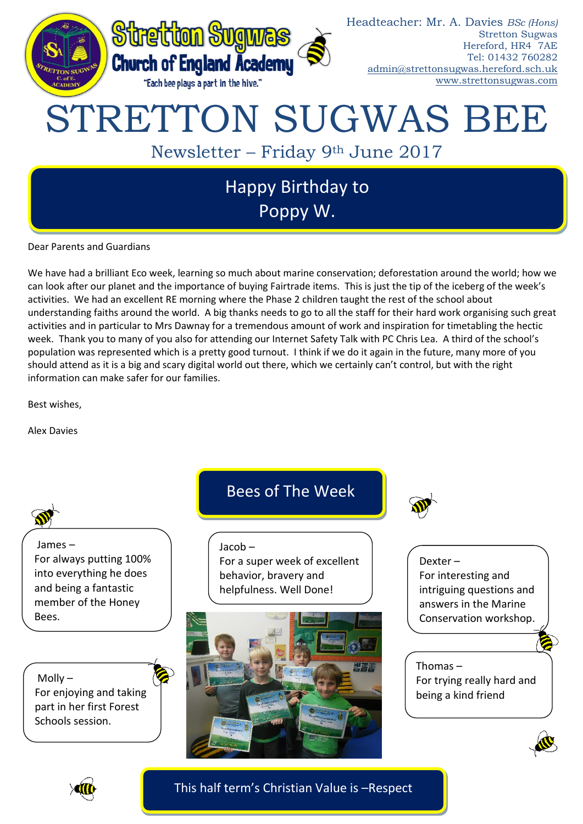

Dear Parents and Guardians

We have had a brilliant Eco week, learning so much about marine conservation; deforestation around the world; how we can look after our planet and the importance of buying Fairtrade items. This is just the tip of the iceberg of the week's activities. We had an excellent RE morning where the Phase 2 children taught the rest of the school about understanding faiths around the world. A big thanks needs to go to all the staff for their hard work organising such great activities and in particular to Mrs Dawnay for a tremendous amount of work and inspiration for timetabling the hectic week. Thank you to many of you also for attending our Internet Safety Talk with PC Chris Lea. A third of the school's population was represented which is a pretty good turnout. I think if we do it again in the future, many more of you should attend as it is a big and scary digital world out there, which we certainly can't control, but with the right information can make safer for our families.

Best wishes,

Alex Davies